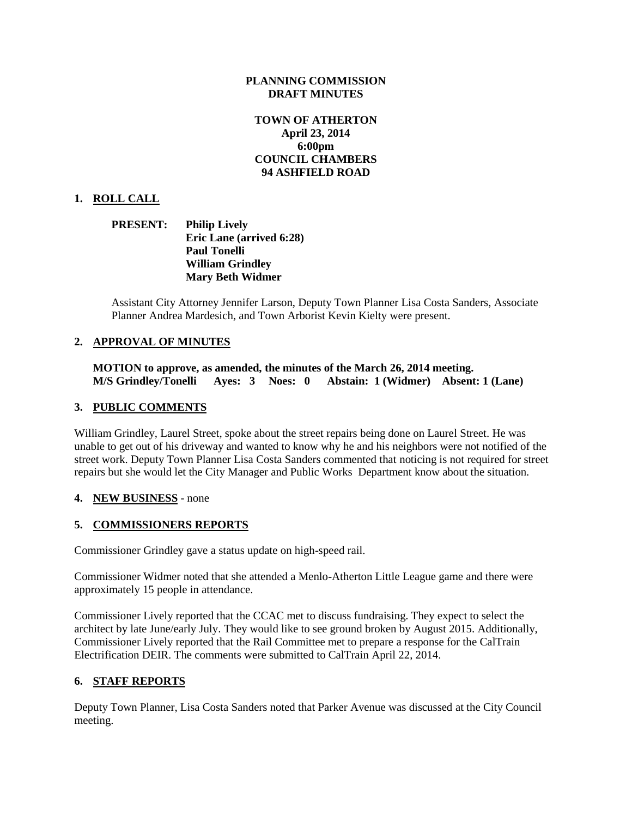## **PLANNING COMMISSION DRAFT MINUTES**

## **TOWN OF ATHERTON April 23, 2014 6:00pm COUNCIL CHAMBERS 94 ASHFIELD ROAD**

## **1. ROLL CALL**

**PRESENT: Philip Lively Eric Lane (arrived 6:28) Paul Tonelli William Grindley Mary Beth Widmer**

Assistant City Attorney Jennifer Larson, Deputy Town Planner Lisa Costa Sanders, Associate Planner Andrea Mardesich, and Town Arborist Kevin Kielty were present.

## **2. APPROVAL OF MINUTES**

**MOTION to approve, as amended, the minutes of the March 26, 2014 meeting. M/S Grindley/Tonelli Ayes: 3 Noes: 0 Abstain: 1 (Widmer) Absent: 1 (Lane)**

## **3. PUBLIC COMMENTS**

William Grindley, Laurel Street, spoke about the street repairs being done on Laurel Street. He was unable to get out of his driveway and wanted to know why he and his neighbors were not notified of the street work. Deputy Town Planner Lisa Costa Sanders commented that noticing is not required for street repairs but she would let the City Manager and Public Works Department know about the situation.

## **4. NEW BUSINESS** - none

## **5. COMMISSIONERS REPORTS**

Commissioner Grindley gave a status update on high-speed rail.

Commissioner Widmer noted that she attended a Menlo-Atherton Little League game and there were approximately 15 people in attendance.

Commissioner Lively reported that the CCAC met to discuss fundraising. They expect to select the architect by late June/early July. They would like to see ground broken by August 2015. Additionally, Commissioner Lively reported that the Rail Committee met to prepare a response for the CalTrain Electrification DEIR. The comments were submitted to CalTrain April 22, 2014.

## **6. STAFF REPORTS**

Deputy Town Planner, Lisa Costa Sanders noted that Parker Avenue was discussed at the City Council meeting.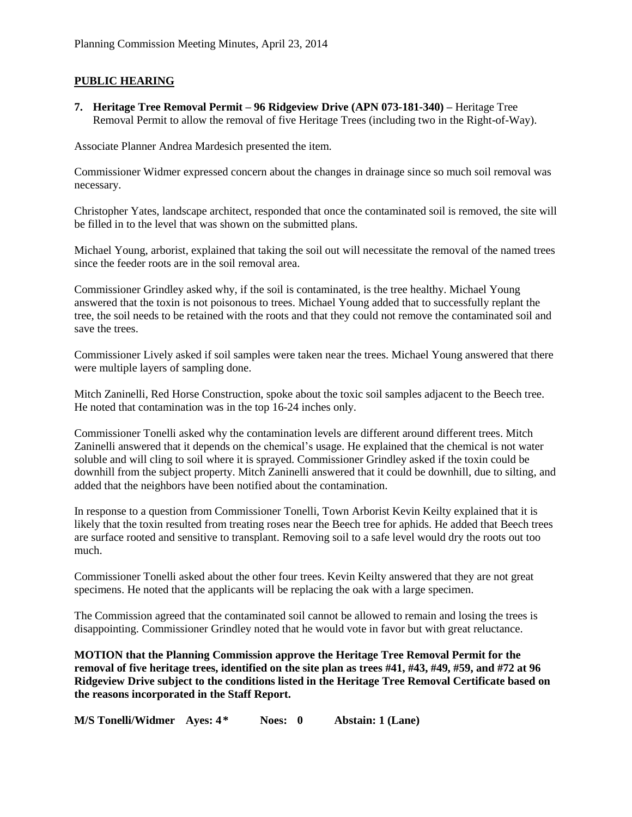## **PUBLIC HEARING**

**7. Heritage Tree Removal Permit – 96 Ridgeview Drive (APN 073-181-340) –** Heritage Tree Removal Permit to allow the removal of five Heritage Trees (including two in the Right-of-Way).

Associate Planner Andrea Mardesich presented the item.

Commissioner Widmer expressed concern about the changes in drainage since so much soil removal was necessary.

Christopher Yates, landscape architect, responded that once the contaminated soil is removed, the site will be filled in to the level that was shown on the submitted plans.

Michael Young, arborist, explained that taking the soil out will necessitate the removal of the named trees since the feeder roots are in the soil removal area.

Commissioner Grindley asked why, if the soil is contaminated, is the tree healthy. Michael Young answered that the toxin is not poisonous to trees. Michael Young added that to successfully replant the tree, the soil needs to be retained with the roots and that they could not remove the contaminated soil and save the trees.

Commissioner Lively asked if soil samples were taken near the trees. Michael Young answered that there were multiple layers of sampling done.

Mitch Zaninelli, Red Horse Construction, spoke about the toxic soil samples adjacent to the Beech tree. He noted that contamination was in the top 16-24 inches only.

Commissioner Tonelli asked why the contamination levels are different around different trees. Mitch Zaninelli answered that it depends on the chemical's usage. He explained that the chemical is not water soluble and will cling to soil where it is sprayed. Commissioner Grindley asked if the toxin could be downhill from the subject property. Mitch Zaninelli answered that it could be downhill, due to silting, and added that the neighbors have been notified about the contamination.

In response to a question from Commissioner Tonelli, Town Arborist Kevin Keilty explained that it is likely that the toxin resulted from treating roses near the Beech tree for aphids. He added that Beech trees are surface rooted and sensitive to transplant. Removing soil to a safe level would dry the roots out too much.

Commissioner Tonelli asked about the other four trees. Kevin Keilty answered that they are not great specimens. He noted that the applicants will be replacing the oak with a large specimen.

The Commission agreed that the contaminated soil cannot be allowed to remain and losing the trees is disappointing. Commissioner Grindley noted that he would vote in favor but with great reluctance.

**MOTION that the Planning Commission approve the Heritage Tree Removal Permit for the removal of five heritage trees, identified on the site plan as trees #41, #43, #49, #59, and #72 at 96 Ridgeview Drive subject to the conditions listed in the Heritage Tree Removal Certificate based on the reasons incorporated in the Staff Report.**

**M/S Tonelli/Widmer Ayes: 4\* Noes: 0 Abstain: 1 (Lane)**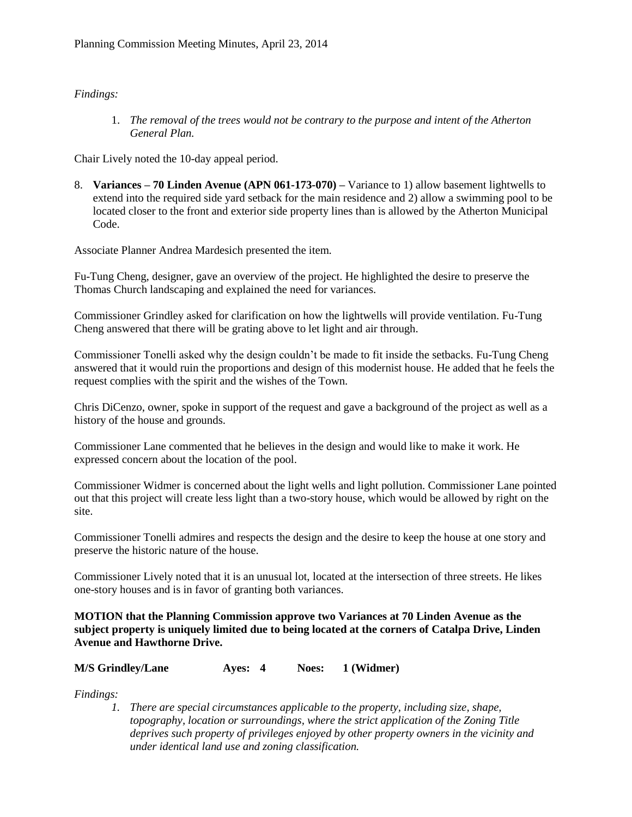## *Findings:*

1. *The removal of the trees would not be contrary to the purpose and intent of the Atherton General Plan.*

Chair Lively noted the 10-day appeal period.

8. **Variances – 70 Linden Avenue (APN 061-173-070) –** Variance to 1) allow basement lightwells to extend into the required side yard setback for the main residence and 2) allow a swimming pool to be located closer to the front and exterior side property lines than is allowed by the Atherton Municipal Code.

Associate Planner Andrea Mardesich presented the item.

Fu-Tung Cheng, designer, gave an overview of the project. He highlighted the desire to preserve the Thomas Church landscaping and explained the need for variances.

Commissioner Grindley asked for clarification on how the lightwells will provide ventilation. Fu-Tung Cheng answered that there will be grating above to let light and air through.

Commissioner Tonelli asked why the design couldn't be made to fit inside the setbacks. Fu-Tung Cheng answered that it would ruin the proportions and design of this modernist house. He added that he feels the request complies with the spirit and the wishes of the Town.

Chris DiCenzo, owner, spoke in support of the request and gave a background of the project as well as a history of the house and grounds.

Commissioner Lane commented that he believes in the design and would like to make it work. He expressed concern about the location of the pool.

Commissioner Widmer is concerned about the light wells and light pollution. Commissioner Lane pointed out that this project will create less light than a two-story house, which would be allowed by right on the site.

Commissioner Tonelli admires and respects the design and the desire to keep the house at one story and preserve the historic nature of the house.

Commissioner Lively noted that it is an unusual lot, located at the intersection of three streets. He likes one-story houses and is in favor of granting both variances.

**MOTION that the Planning Commission approve two Variances at 70 Linden Avenue as the subject property is uniquely limited due to being located at the corners of Catalpa Drive, Linden Avenue and Hawthorne Drive.**

#### **M/S Grindley/Lane Ayes: 4 Noes: 1 (Widmer)**

*Findings:*

*1. There are special circumstances applicable to the property, including size, shape, topography, location or surroundings, where the strict application of the Zoning Title deprives such property of privileges enjoyed by other property owners in the vicinity and under identical land use and zoning classification.*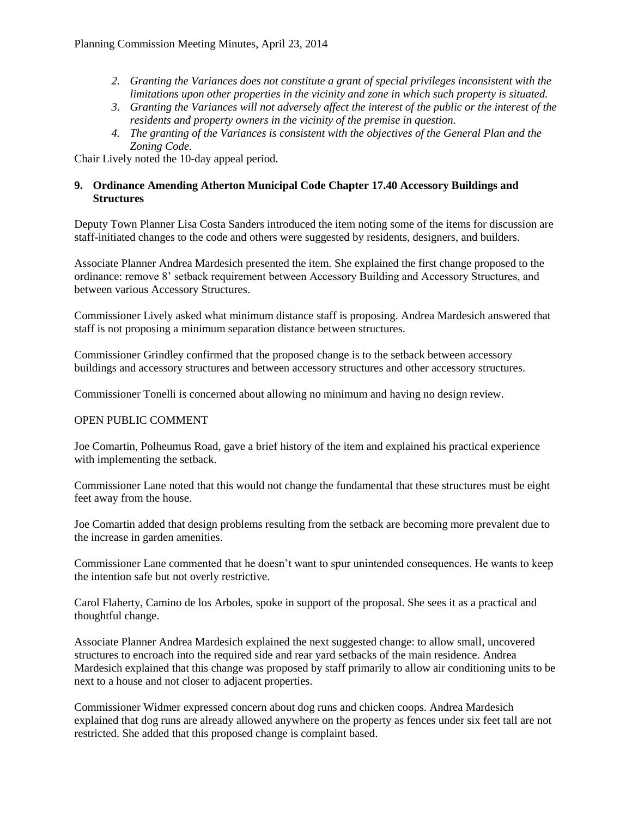- *2. Granting the Variances does not constitute a grant of special privileges inconsistent with the limitations upon other properties in the vicinity and zone in which such property is situated.*
- *3. Granting the Variances will not adversely affect the interest of the public or the interest of the residents and property owners in the vicinity of the premise in question.*
- *4. The granting of the Variances is consistent with the objectives of the General Plan and the Zoning Code.*

Chair Lively noted the 10-day appeal period.

## **9. Ordinance Amending Atherton Municipal Code Chapter 17.40 Accessory Buildings and Structures**

Deputy Town Planner Lisa Costa Sanders introduced the item noting some of the items for discussion are staff-initiated changes to the code and others were suggested by residents, designers, and builders.

Associate Planner Andrea Mardesich presented the item. She explained the first change proposed to the ordinance: remove 8' setback requirement between Accessory Building and Accessory Structures, and between various Accessory Structures.

Commissioner Lively asked what minimum distance staff is proposing. Andrea Mardesich answered that staff is not proposing a minimum separation distance between structures.

Commissioner Grindley confirmed that the proposed change is to the setback between accessory buildings and accessory structures and between accessory structures and other accessory structures.

Commissioner Tonelli is concerned about allowing no minimum and having no design review.

## OPEN PUBLIC COMMENT

Joe Comartin, Polheumus Road, gave a brief history of the item and explained his practical experience with implementing the setback.

Commissioner Lane noted that this would not change the fundamental that these structures must be eight feet away from the house.

Joe Comartin added that design problems resulting from the setback are becoming more prevalent due to the increase in garden amenities.

Commissioner Lane commented that he doesn't want to spur unintended consequences. He wants to keep the intention safe but not overly restrictive.

Carol Flaherty, Camino de los Arboles, spoke in support of the proposal. She sees it as a practical and thoughtful change.

Associate Planner Andrea Mardesich explained the next suggested change: to allow small, uncovered structures to encroach into the required side and rear yard setbacks of the main residence. Andrea Mardesich explained that this change was proposed by staff primarily to allow air conditioning units to be next to a house and not closer to adjacent properties.

Commissioner Widmer expressed concern about dog runs and chicken coops. Andrea Mardesich explained that dog runs are already allowed anywhere on the property as fences under six feet tall are not restricted. She added that this proposed change is complaint based.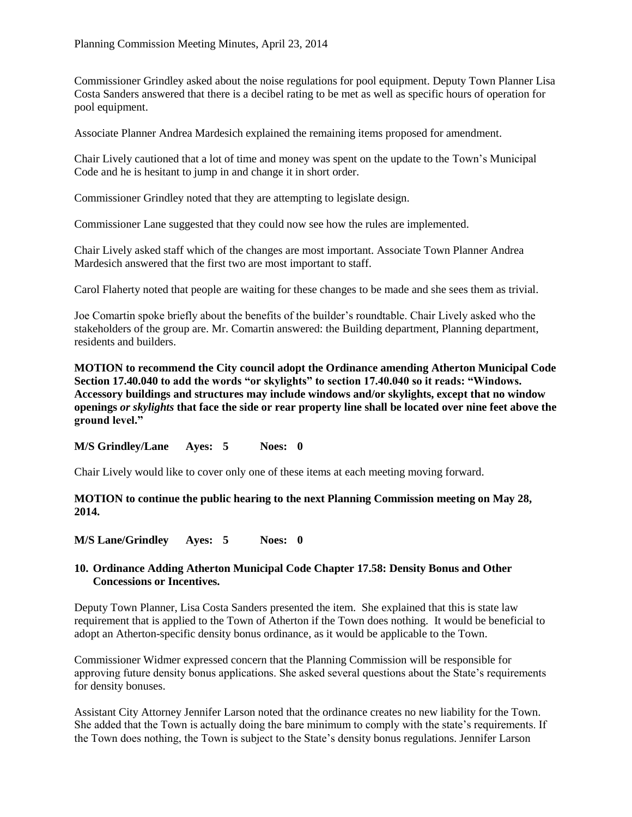Commissioner Grindley asked about the noise regulations for pool equipment. Deputy Town Planner Lisa Costa Sanders answered that there is a decibel rating to be met as well as specific hours of operation for pool equipment.

Associate Planner Andrea Mardesich explained the remaining items proposed for amendment.

Chair Lively cautioned that a lot of time and money was spent on the update to the Town's Municipal Code and he is hesitant to jump in and change it in short order.

Commissioner Grindley noted that they are attempting to legislate design.

Commissioner Lane suggested that they could now see how the rules are implemented.

Chair Lively asked staff which of the changes are most important. Associate Town Planner Andrea Mardesich answered that the first two are most important to staff.

Carol Flaherty noted that people are waiting for these changes to be made and she sees them as trivial.

Joe Comartin spoke briefly about the benefits of the builder's roundtable. Chair Lively asked who the stakeholders of the group are. Mr. Comartin answered: the Building department, Planning department, residents and builders.

**MOTION to recommend the City council adopt the Ordinance amending Atherton Municipal Code Section 17.40.040 to add the words "or skylights" to section 17.40.040 so it reads: "Windows. Accessory buildings and structures may include windows and/or skylights, except that no window openings** *or skylights* **that face the side or rear property line shall be located over nine feet above the ground level."**

**M/S Grindley/Lane Ayes: 5 Noes: 0**

Chair Lively would like to cover only one of these items at each meeting moving forward.

**MOTION to continue the public hearing to the next Planning Commission meeting on May 28, 2014.**

**M/S Lane/Grindley Ayes: 5 Noes: 0**

## **10. Ordinance Adding Atherton Municipal Code Chapter 17.58: Density Bonus and Other Concessions or Incentives.**

Deputy Town Planner, Lisa Costa Sanders presented the item. She explained that this is state law requirement that is applied to the Town of Atherton if the Town does nothing. It would be beneficial to adopt an Atherton-specific density bonus ordinance, as it would be applicable to the Town.

Commissioner Widmer expressed concern that the Planning Commission will be responsible for approving future density bonus applications. She asked several questions about the State's requirements for density bonuses.

Assistant City Attorney Jennifer Larson noted that the ordinance creates no new liability for the Town. She added that the Town is actually doing the bare minimum to comply with the state's requirements. If the Town does nothing, the Town is subject to the State's density bonus regulations. Jennifer Larson